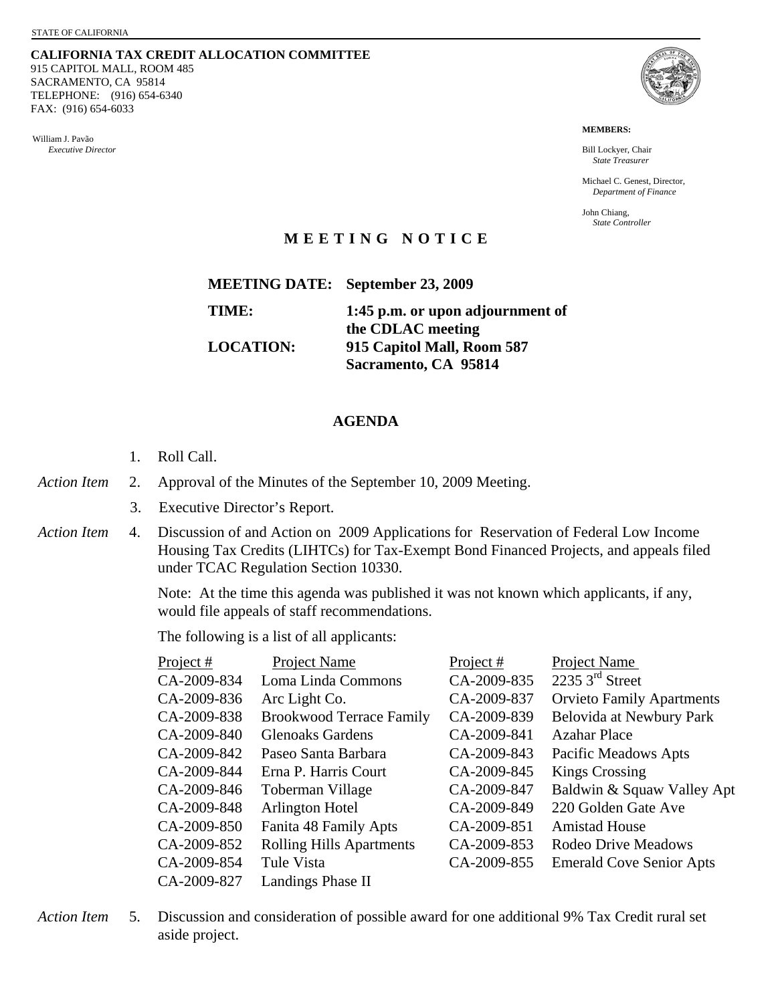**CALIFORNIA TAX CREDIT ALLOCATION COMMITTEE** 915 CAPITOL MALL, ROOM 485 SACRAMENTO, CA 95814 TELEPHONE: (916) 654-6340 FAX: (916) 654-6033

William J. Pavão *Executive Director* 



**MEMBERS:** 

Bill Lockyer, Chair *State Treasurer* 

Michael C. Genest, Director, *Department of Finance* 

John Chiang, *State Controller* 

## **MEETING NOTICE**

|                  | <b>MEETING DATE:</b> September 23, 2009 |
|------------------|-----------------------------------------|
| TIME:            | 1:45 p.m. or upon adjournment of        |
|                  | the CDLAC meeting                       |
| <b>LOCATION:</b> | 915 Capitol Mall, Room 587              |

**Sacramento, CA 95814** 

## **AGENDA**

- 1. Roll Call.
- *Action Item* 2. Approval of the Minutes of the September 10, 2009 Meeting.
	- 3. Executive Director's Report.
- *Action Item* 4. Discussion of and Action on 2009 Applications for Reservation of Federal Low Income Housing Tax Credits (LIHTCs) for Tax-Exempt Bond Financed Projects, and appeals filed under TCAC Regulation Section 10330.

Note: At the time this agenda was published it was not known which applicants, if any, would file appeals of staff recommendations.

The following is a list of all applicants:

| Project $#$ | <b>Project Name</b>             | Project $#$ | <b>Project Name</b>              |
|-------------|---------------------------------|-------------|----------------------------------|
| CA-2009-834 | Loma Linda Commons              | CA-2009-835 | 2235 $3rd$ Street                |
| CA-2009-836 | Arc Light Co.                   | CA-2009-837 | <b>Orvieto Family Apartments</b> |
| CA-2009-838 | <b>Brookwood Terrace Family</b> | CA-2009-839 | Belovida at Newbury Park         |
| CA-2009-840 | <b>Glenoaks Gardens</b>         | CA-2009-841 | <b>Azahar Place</b>              |
| CA-2009-842 | Paseo Santa Barbara             | CA-2009-843 | <b>Pacific Meadows Apts</b>      |
| CA-2009-844 | Erna P. Harris Court            | CA-2009-845 | <b>Kings Crossing</b>            |
| CA-2009-846 | Toberman Village                | CA-2009-847 | Baldwin & Squaw Valley Apt       |
| CA-2009-848 | Arlington Hotel                 | CA-2009-849 | 220 Golden Gate Ave              |
| CA-2009-850 | Fanita 48 Family Apts           | CA-2009-851 | <b>Amistad House</b>             |
| CA-2009-852 | <b>Rolling Hills Apartments</b> | CA-2009-853 | Rodeo Drive Meadows              |
| CA-2009-854 | Tule Vista                      | CA-2009-855 | <b>Emerald Cove Senior Apts</b>  |
| CA-2009-827 | <b>Landings Phase II</b>        |             |                                  |

*Action Item* 5. Discussion and consideration of possible award for one additional 9% Tax Credit rural set aside project.